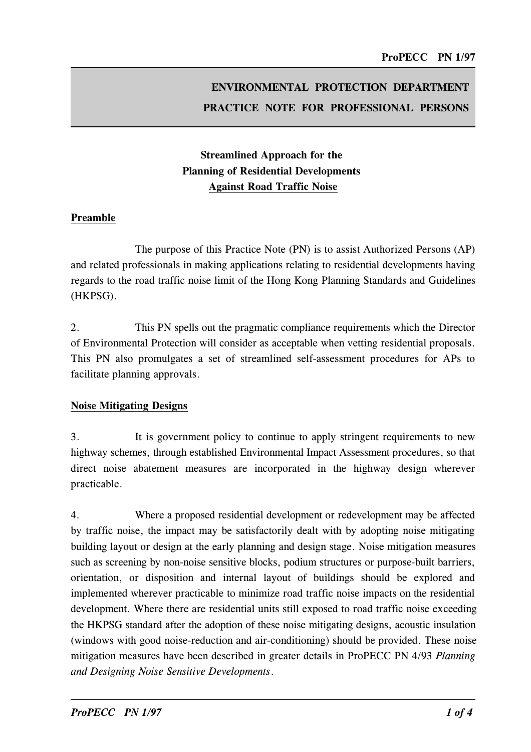# ENVIRONMENTAL PROTECTION DEPARTMENT PRACTICE NOTE FOR PROFESSIONAL PERSONS

## Streamlined Approach for the Planning of Residential Developments Against Road Traffic Noise

#### Preamble

The purpose of this Practice Note (PN) is to assist Authorized Persons (AP) and related professionals in making applications relating to residential developments having regards to the road traffic noise limit of the Hong Kong Planning Standards and Guidelines (HKPSG).

2.This PN spells out the pragmatic compliance requirements which the Director of Environmental Protection will consider as acceptable when vetting residential proposals. This PN also promulgates a set of streamlined self-assessment procedures for APs to facilitate planning approvals.

#### Noise Mitigating Designs

3. It is government policy to continue to apply stringent requirements to new highway schemes, through established Environmental Impact Assessment procedures, so that direct noise abatement measures are incorporated in the highway design wherever practicable.

4.Where a proposed residential development or redevelopment may be affected by traffic noise, the impact may be satisfactorily dealt with by adopting noise mitigating building layout or design at the early planning and design stage. Noise mitigation measures such as screening by non-noise sensitive blocks, podium structures or purpose-built barriers, orientation, or disposition and internal layout of buildings should be explored and implemented wherever practicable to minimize road traffic noise impacts on the residential development. Where there are residential units still exposed to road traffic noise exceeding the HKPSG standard after the adoption of these noise mitigating designs, acoustic insulation (windows with good noise-reduction and air-conditioning) should be provided. These noise mitigation measures have been described in greater details in ProPECC PN 4/93 Planning and Designing Noise Sensitive Developments.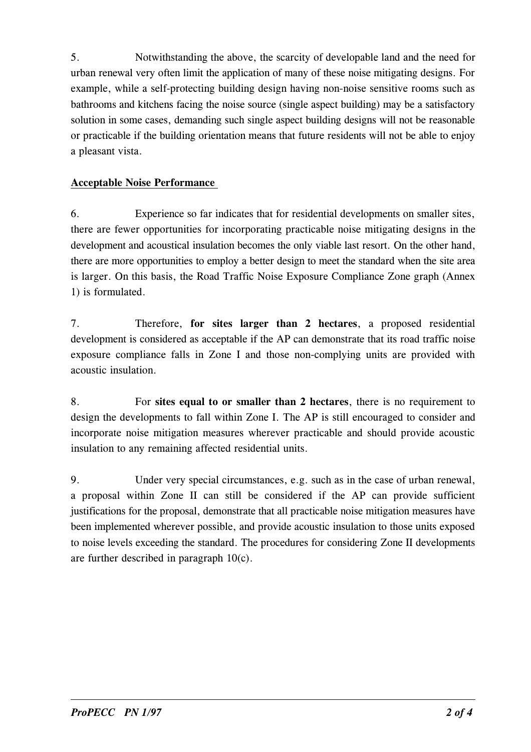5.Notwithstanding the above, the scarcity of developable land and the need for urban renewal very often limit the application of many of these noise mitigating designs. For example, while a self-protecting building design having non-noise sensitive rooms such as bathrooms and kitchens facing the noise source (single aspect building) may be a satisfactory solution in some cases, demanding such single aspect building designs will not be reasonable or practicable if the building orientation means that future residents will not be able to enjoy a pleasant vista.

### Acceptable Noise Performance

6.Experience so far indicates that for residential developments on smaller sites, there are fewer opportunities for incorporating practicable noise mitigating designs in the development and acoustical insulation becomes the only viable last resort. On the other hand, there are more opportunities to employ a better design to meet the standard when the site area is larger. On this basis, the Road Traffic Noise Exposure Compliance Zone graph (Annex 1) is formulated.

7.Therefore, for sites larger than 2 hectares, a proposed residential development is considered as acceptable if the AP can demonstrate that its road traffic noise exposure compliance falls in Zone I and those non-complying units are provided with acoustic insulation.

8. For sites equal to or smaller than 2 hectares, there is no requirement to design the developments to fall within Zone I. The AP is still encouraged to consider and incorporate noise mitigation measures wherever practicable and should provide acoustic insulation to any remaining affected residential units.

9. Under very special circumstances, e.g. such as in the case of urban renewal, a proposal within Zone II can still be considered if the AP can provide sufficient justifications for the proposal, demonstrate that all practicable noise mitigation measures have been implemented wherever possible, and provide acoustic insulation to those units exposed to noise levels exceeding the standard. The procedures for considering Zone II developments are further described in paragraph  $10(c)$ .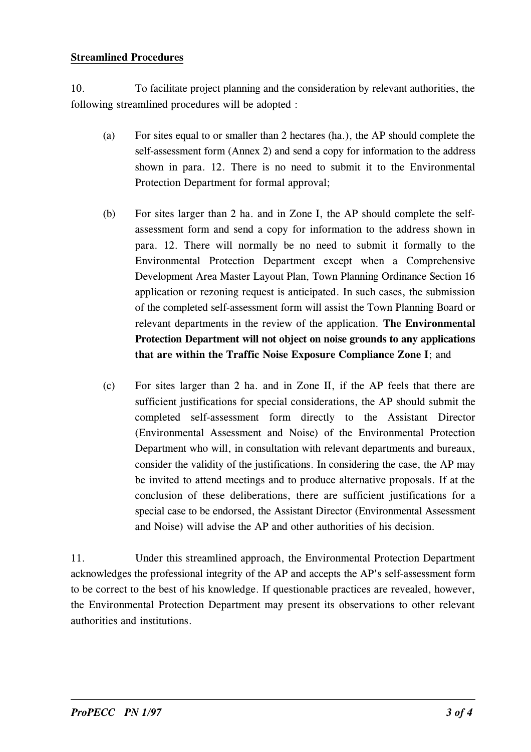#### Streamlined Procedures

1O.To facilitate project planning and the consideration by relevant authorities, the following streamlined procedures will be adopted :

- (a) For sites equal to or smaller than 2 hectares (ha.), the AP should complete the self-assessment form (Annex 2) and send a copy for information to the address shown in para. 12. There is no need to submit it to the Environmental Protection Department for formal approval;
- (b) For sites larger than 2 ha. and in Zone I, the AP should complete the selfassessment form and send a copy for information to the address shown in para. 12. There will normally be no need to submit it formally to the Environmental Protection Department except when a Comprehensive Development Area Master Layout Plan, Town Planning Ordinance Section 16 application or rezoning request is anticipated. In such cases, the submission of the completed self-assessment form will assist the Town Planning Board or relevant departments in the review of the application. The Environmental Protection Department will not object on noise grounds to any applications that are within the Traffic Noise Exposure Compliance Zone I; and
- (c) For sites larger than 2 ha. and in Zone II, if the AP feels that there are sufficient justifications for special considerations, the AP should submit the completed self-assessment form directly to the Assistant Director (Environmental Assessment and Noise) of the Environmental Protection Department who will, in consultation with relevant departments and bureaux, consider the validity of the justifications. In considering the case, the AP may be invited to attend meetings and to produce alternative proposals. If at the conclusion of these deliberations, there are sufficient justifications for a special case to be endorsed, the Assistant Director (Environmental Assessment and Noise) will advise the AP and other authorities of his decision.

11. Under this streamlined approach, the Environmental Protection Department acknowledges the professional integrity of the AP and accepts the AP's self-assessment form to be correct to the best of his knowledge. If questionable practices are revealed, however, the Environmental Protection Department may present its observations to other relevant authorities and institutions.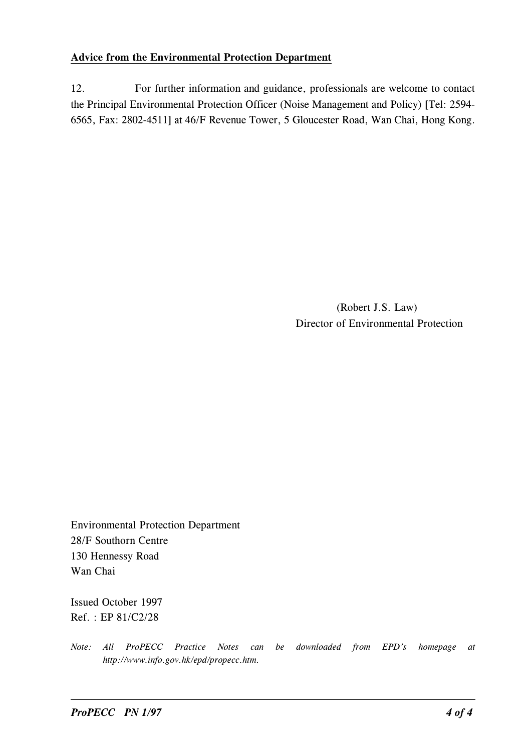#### Advice from the Environmental Protection Department

12. For further information and guidance, professionals are welcome to contact the Principal Environmental Protection Officer (Noise Management and Policy) [Tel: 2594- 6565, Fax: 28O2-4511] at 46/F Revenue Tower, 5 Gloucester Road, Wan Chai, Hong Kong.

> (Robert J.S. Law) Director of Environmental Protection

Environmental Protection Department 28/F Southorn Centre 13O Hennessy Road Wan Chai

Issued October 1997 Ref. : EP 81/C2/28

Note: All ProPECC Practice Notes can be downloaded from EPD's homepage at http://www.info.gov.hk/epd/propecc.htm.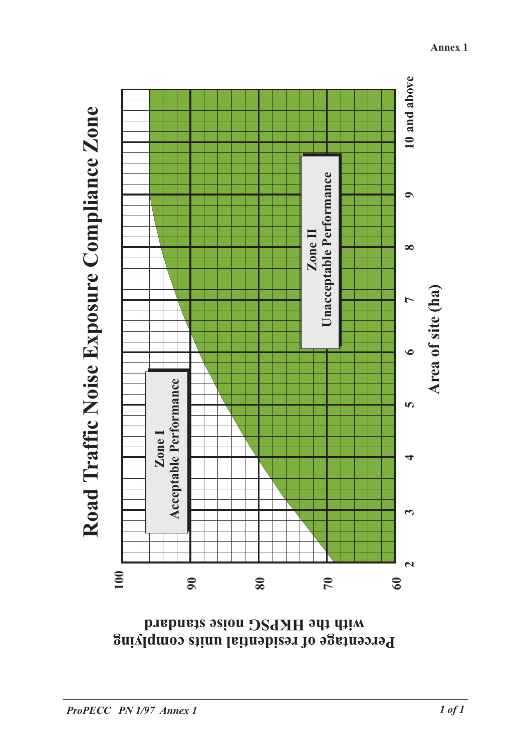



 **complying units residential of Percentage standard noise HKPSG the with**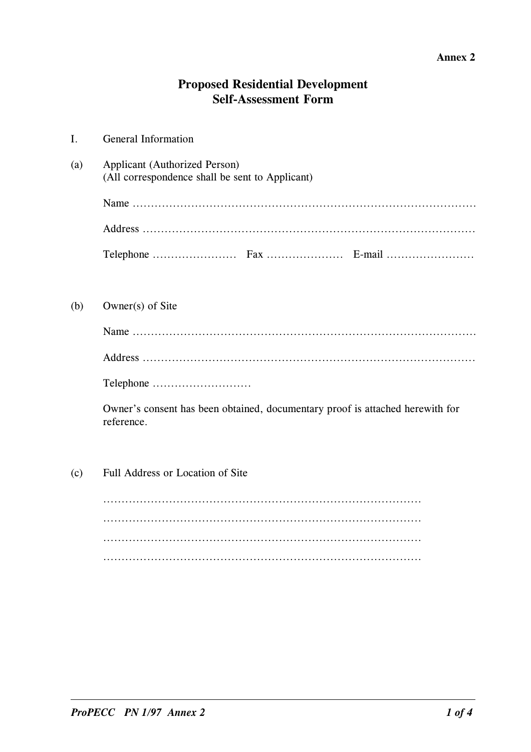#### Annex 2

## **Proposed Residential Development** Self-Assessment Form

| $\mathbf{I}$ . | <b>General Information</b>                                                                  |  |  |  |
|----------------|---------------------------------------------------------------------------------------------|--|--|--|
| (a)            | <b>Applicant (Authorized Person)</b><br>(All correspondence shall be sent to Applicant)     |  |  |  |
|                |                                                                                             |  |  |  |
|                |                                                                                             |  |  |  |
|                |                                                                                             |  |  |  |
| (b)            | Owner(s) of Site                                                                            |  |  |  |
|                |                                                                                             |  |  |  |
|                |                                                                                             |  |  |  |
|                |                                                                                             |  |  |  |
|                | Owner's consent has been obtained, documentary proof is attached herewith for<br>reference. |  |  |  |
| (c)            | Full Address or Location of Site                                                            |  |  |  |
|                |                                                                                             |  |  |  |
|                |                                                                                             |  |  |  |
|                |                                                                                             |  |  |  |
|                |                                                                                             |  |  |  |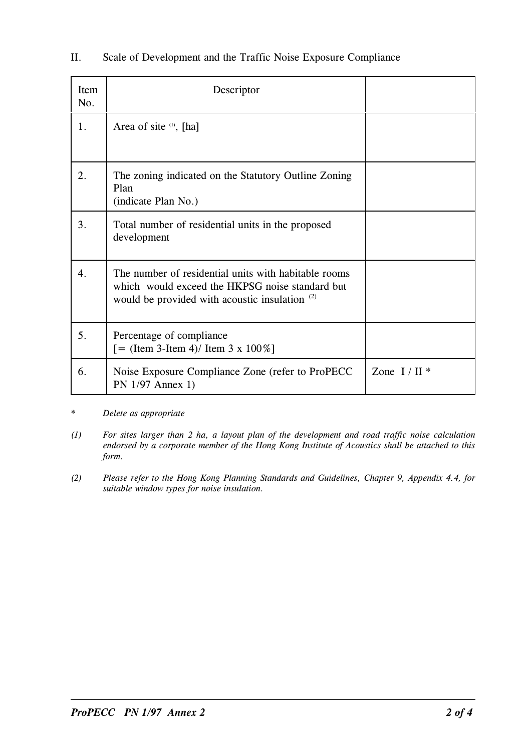| Item<br>No.      | Descriptor                                                                                                                                                |                 |
|------------------|-----------------------------------------------------------------------------------------------------------------------------------------------------------|-----------------|
| 1.               | Area of site $(1)$ , [ha]                                                                                                                                 |                 |
| 2.               | The zoning indicated on the Statutory Outline Zoning<br>Plan<br>(indicate Plan No.)                                                                       |                 |
| 3.               | Total number of residential units in the proposed<br>development                                                                                          |                 |
| $\overline{4}$ . | The number of residential units with habitable rooms<br>which would exceed the HKPSG noise standard but<br>would be provided with acoustic insulation (2) |                 |
| 5.               | Percentage of compliance<br>$[$ = (Item 3-Item 4)/ Item 3 x 100%]                                                                                         |                 |
| 6.               | Noise Exposure Compliance Zone (refer to ProPECC)<br>PN 1/97 Annex 1)                                                                                     | Zone $I / II$ * |

### II. Scale of Development and the Traffic Noise Exposure Compliance

- \* Delete as appropriate
- $(1)$  For sites larger than 2 ha, a layout plan of the development and road traffic noise calculation endorsed by a corporate member of the Hong Kong Institute of Acoustics shall be attached to this form.
- (2) Please refer to the Hong Kong Planning Standards and Guidelines, Chapter 9, Appendix 4.4, for suitable window types for noise insulation.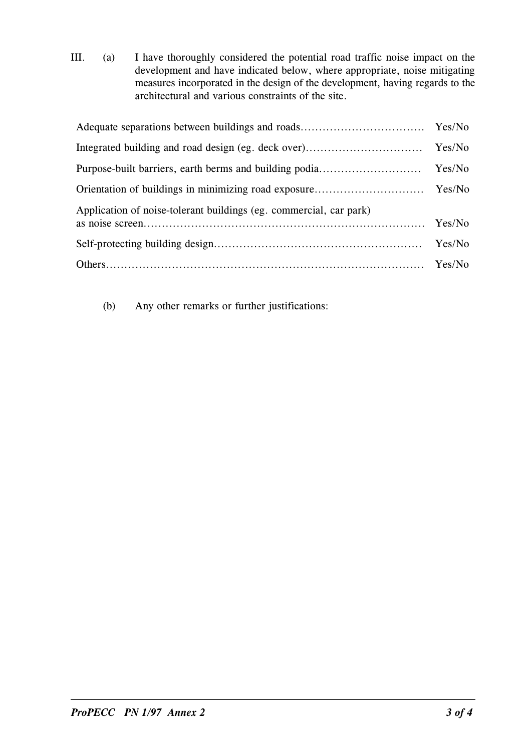III. (a) I have thoroughly considered the potential road traffic noise impact on the development and have indicated below, where appropriate, noise mitigating measures incorporated in the design of the development, having regards to the architectural and various constraints of the site.

| Application of noise-tolerant buildings (eg. commercial, car park) |        |
|--------------------------------------------------------------------|--------|
|                                                                    | Yes/No |
|                                                                    |        |

(b) Any other remarks or further justifications: